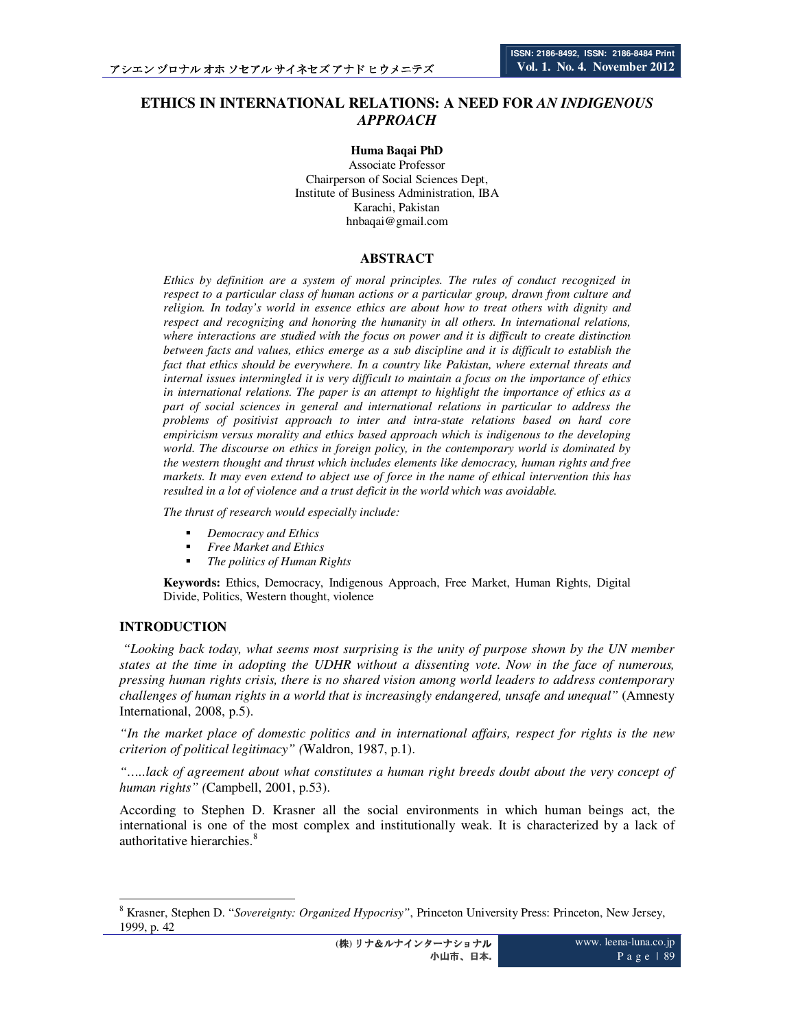# **ETHICS IN INTERNATIONAL RELATIONS: A NEED FOR** *AN INDIGENOUS APPROACH*

**Huma Baqai PhD**  Associate Professor Chairperson of Social Sciences Dept, Institute of Business Administration, IBA Karachi, Pakistan hnbaqai@gmail.com

## **ABSTRACT**

*Ethics by definition are a system of moral principles. The rules of conduct recognized in respect to a particular class of human actions or a particular group, drawn from culture and religion. In today's world in essence ethics are about how to treat others with dignity and respect and recognizing and honoring the humanity in all others. In international relations, where interactions are studied with the focus on power and it is difficult to create distinction between facts and values, ethics emerge as a sub discipline and it is difficult to establish the fact that ethics should be everywhere. In a country like Pakistan, where external threats and internal issues intermingled it is very difficult to maintain a focus on the importance of ethics in international relations. The paper is an attempt to highlight the importance of ethics as a part of social sciences in general and international relations in particular to address the problems of positivist approach to inter and intra-state relations based on hard core empiricism versus morality and ethics based approach which is indigenous to the developing world. The discourse on ethics in foreign policy, in the contemporary world is dominated by the western thought and thrust which includes elements like democracy, human rights and free markets. It may even extend to abject use of force in the name of ethical intervention this has resulted in a lot of violence and a trust deficit in the world which was avoidable.* 

*The thrust of research would especially include:* 

- *Democracy and Ethics*
- *Free Market and Ethics*
- *The politics of Human Rights*

**Keywords:** Ethics, Democracy, Indigenous Approach, Free Market, Human Rights, Digital Divide, Politics, Western thought, violence

### **INTRODUCTION**

 $\overline{a}$ 

 *"Looking back today, what seems most surprising is the unity of purpose shown by the UN member states at the time in adopting the UDHR without a dissenting vote. Now in the face of numerous, pressing human rights crisis, there is no shared vision among world leaders to address contemporary challenges of human rights in a world that is increasingly endangered, unsafe and unequal"* (Amnesty International, 2008, p.5).

*"In the market place of domestic politics and in international affairs, respect for rights is the new criterion of political legitimacy" (*Waldron, 1987, p.1).

*"…..lack of agreement about what constitutes a human right breeds doubt about the very concept of human rights" (*Campbell, 2001, p.53).

According to Stephen D. Krasner all the social environments in which human beings act, the international is one of the most complex and institutionally weak. It is characterized by a lack of authoritative hierarchies.<sup>8</sup>

<sup>8</sup> Krasner, Stephen D. "*Sovereignty: Organized Hypocrisy"*, Princeton University Press: Princeton, New Jersey, 1999, p. 42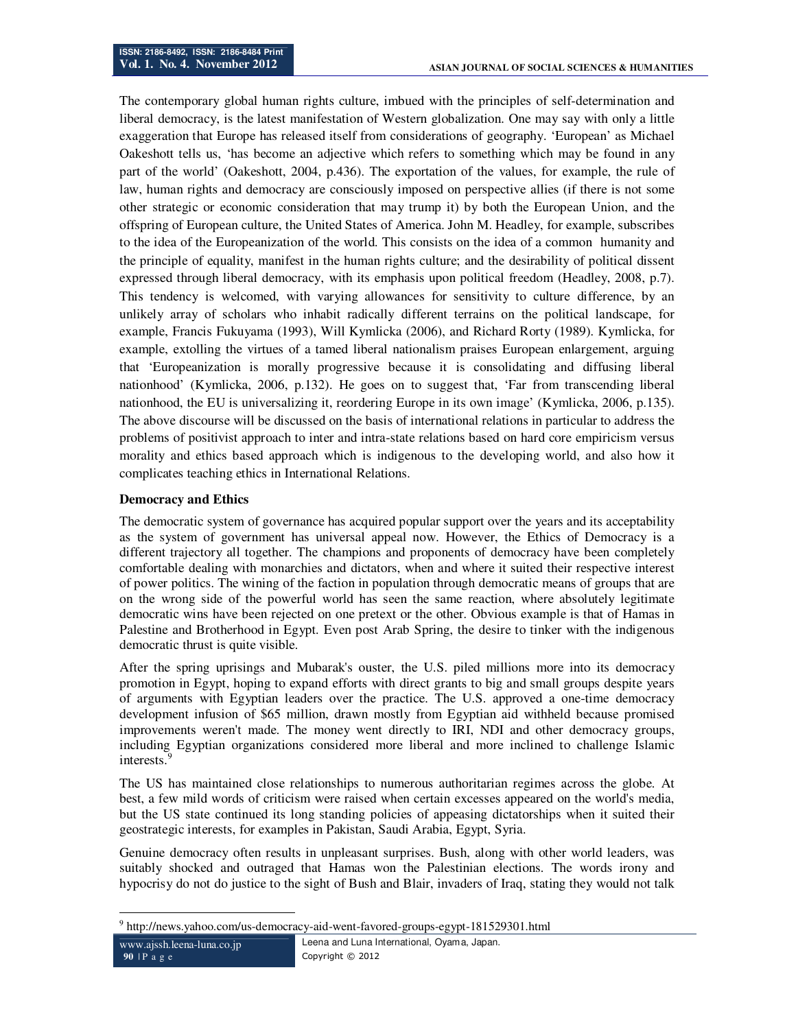The contemporary global human rights culture, imbued with the principles of self-determination and liberal democracy, is the latest manifestation of Western globalization. One may say with only a little exaggeration that Europe has released itself from considerations of geography. 'European' as Michael Oakeshott tells us, 'has become an adjective which refers to something which may be found in any part of the world' (Oakeshott, 2004, p.436). The exportation of the values, for example, the rule of law, human rights and democracy are consciously imposed on perspective allies (if there is not some other strategic or economic consideration that may trump it) by both the European Union, and the offspring of European culture, the United States of America. John M. Headley, for example, subscribes to the idea of the Europeanization of the world. This consists on the idea of a common humanity and the principle of equality, manifest in the human rights culture; and the desirability of political dissent expressed through liberal democracy, with its emphasis upon political freedom (Headley, 2008, p.7). This tendency is welcomed, with varying allowances for sensitivity to culture difference, by an unlikely array of scholars who inhabit radically different terrains on the political landscape, for example, Francis Fukuyama (1993), Will Kymlicka (2006), and Richard Rorty (1989). Kymlicka, for example, extolling the virtues of a tamed liberal nationalism praises European enlargement, arguing that 'Europeanization is morally progressive because it is consolidating and diffusing liberal nationhood' (Kymlicka, 2006, p.132). He goes on to suggest that, 'Far from transcending liberal nationhood, the EU is universalizing it, reordering Europe in its own image' (Kymlicka, 2006, p.135). The above discourse will be discussed on the basis of international relations in particular to address the problems of positivist approach to inter and intra-state relations based on hard core empiricism versus morality and ethics based approach which is indigenous to the developing world, and also how it complicates teaching ethics in International Relations.

### **Democracy and Ethics**

The democratic system of governance has acquired popular support over the years and its acceptability as the system of government has universal appeal now. However, the Ethics of Democracy is a different trajectory all together. The champions and proponents of democracy have been completely comfortable dealing with monarchies and dictators, when and where it suited their respective interest of power politics. The wining of the faction in population through democratic means of groups that are on the wrong side of the powerful world has seen the same reaction, where absolutely legitimate democratic wins have been rejected on one pretext or the other. Obvious example is that of Hamas in Palestine and Brotherhood in Egypt. Even post Arab Spring, the desire to tinker with the indigenous democratic thrust is quite visible.

After the spring uprisings and Mubarak's ouster, the U.S. piled millions more into its democracy promotion in Egypt, hoping to expand efforts with direct grants to big and small groups despite years of arguments with Egyptian leaders over the practice. The U.S. approved a one-time democracy development infusion of \$65 million, drawn mostly from Egyptian aid withheld because promised improvements weren't made. The money went directly to IRI, NDI and other democracy groups, including Egyptian organizations considered more liberal and more inclined to challenge Islamic interests.

The US has maintained close relationships to numerous authoritarian regimes across the globe. At best, a few mild words of criticism were raised when certain excesses appeared on the world's media, but the US state continued its long standing policies of appeasing dictatorships when it suited their geostrategic interests, for examples in Pakistan, Saudi Arabia, Egypt, Syria.

Genuine democracy often results in unpleasant surprises. Bush, along with other world leaders, was suitably shocked and outraged that Hamas won the Palestinian elections. The words irony and hypocrisy do not do justice to the sight of Bush and Blair, invaders of Iraq, stating they would not talk

<sup>&</sup>lt;sup>9</sup> http://news.yahoo.com/us-democracy-aid-went-favored-groups-egypt-181529301.html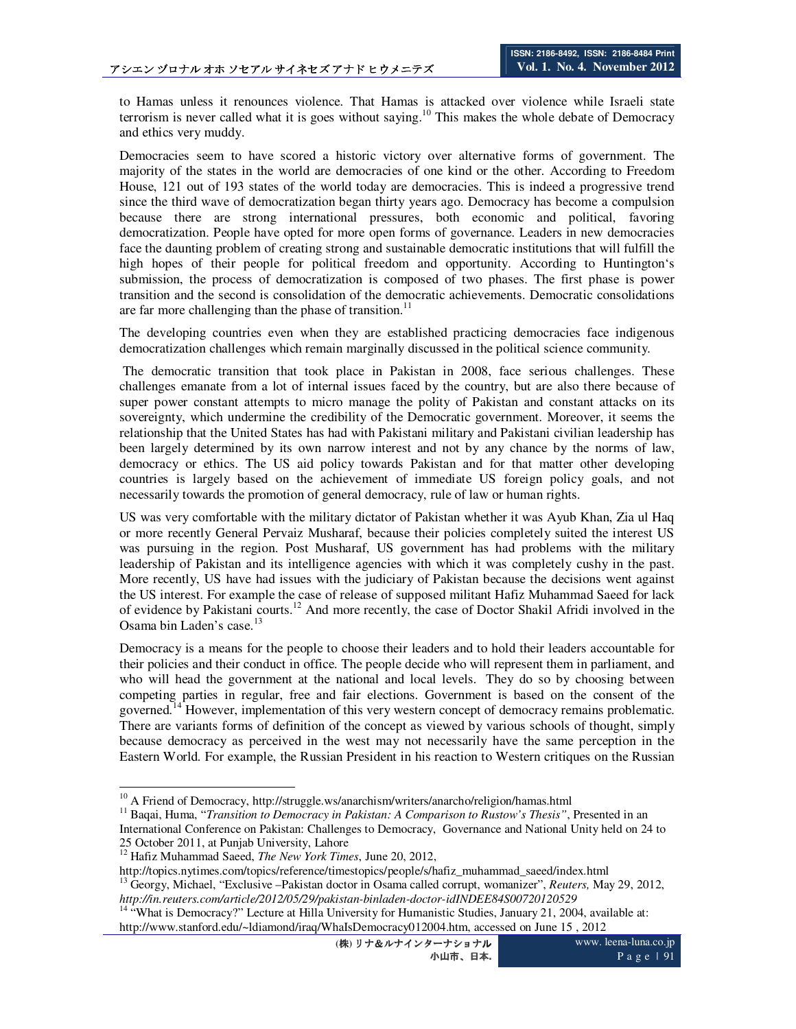to Hamas unless it renounces violence. That Hamas is attacked over violence while Israeli state terrorism is never called what it is goes without saying.<sup>10</sup> This makes the whole debate of Democracy and ethics very muddy.

Democracies seem to have scored a historic victory over alternative forms of government. The majority of the states in the world are democracies of one kind or the other. According to Freedom House, 121 out of 193 states of the world today are democracies. This is indeed a progressive trend since the third wave of democratization began thirty years ago. Democracy has become a compulsion because there are strong international pressures, both economic and political, favoring democratization. People have opted for more open forms of governance. Leaders in new democracies face the daunting problem of creating strong and sustainable democratic institutions that will fulfill the high hopes of their people for political freedom and opportunity. According to Huntington's submission, the process of democratization is composed of two phases. The first phase is power transition and the second is consolidation of the democratic achievements. Democratic consolidations are far more challenging than the phase of transition.<sup>11</sup>

The developing countries even when they are established practicing democracies face indigenous democratization challenges which remain marginally discussed in the political science community.

 The democratic transition that took place in Pakistan in 2008, face serious challenges. These challenges emanate from a lot of internal issues faced by the country, but are also there because of super power constant attempts to micro manage the polity of Pakistan and constant attacks on its sovereignty, which undermine the credibility of the Democratic government. Moreover, it seems the relationship that the United States has had with Pakistani military and Pakistani civilian leadership has been largely determined by its own narrow interest and not by any chance by the norms of law, democracy or ethics. The US aid policy towards Pakistan and for that matter other developing countries is largely based on the achievement of immediate US foreign policy goals, and not necessarily towards the promotion of general democracy, rule of law or human rights.

US was very comfortable with the military dictator of Pakistan whether it was Ayub Khan, Zia ul Haq or more recently General Pervaiz Musharaf, because their policies completely suited the interest US was pursuing in the region. Post Musharaf, US government has had problems with the military leadership of Pakistan and its intelligence agencies with which it was completely cushy in the past. More recently, US have had issues with the judiciary of Pakistan because the decisions went against the US interest. For example the case of release of supposed militant Hafiz Muhammad Saeed for lack of evidence by Pakistani courts.<sup>12</sup> And more recently, the case of Doctor Shakil Afridi involved in the Osama bin Laden's case.<sup>1</sup>

Democracy is a means for the people to choose their leaders and to hold their leaders accountable for their policies and their conduct in office. The people decide who will represent them in parliament, and who will head the government at the national and local levels. They do so by choosing between competing parties in regular, free and fair elections. Government is based on the consent of the governed.<sup>14</sup> However, implementation of this very western concept of democracy remains problematic. There are variants forms of definition of the concept as viewed by various schools of thought, simply because democracy as perceived in the west may not necessarily have the same perception in the Eastern World. For example, the Russian President in his reaction to Western critiques on the Russian

 $\ddot{\phantom{a}}$ 

<sup>&</sup>lt;sup>10</sup> A Friend of Democracy, http://struggle.ws/anarchism/writers/anarcho/religion/hamas.html

<sup>&</sup>lt;sup>11</sup> Baqai, Huma, "*Transition to Democracy in Pakistan: A Comparison to Rustow's Thesis"*, Presented in an International Conference on Pakistan: Challenges to Democracy, Governance and National Unity held on 24 to 25 October 2011, at Punjab University, Lahore

<sup>12</sup> Hafiz Muhammad Saeed, *The New York Times*, June 20, 2012,

http://topics.nytimes.com/topics/reference/timestopics/people/s/hafiz\_muhammad\_saeed/index.html

<sup>13</sup> Georgy, Michael, "Exclusive –Pakistan doctor in Osama called corrupt, womanizer", *Reuters,* May 29, 2012, *http://in.reuters.com/article/2012/05/29/pakistan-binladen-doctor-idINDEE84S00720120529*

<sup>&</sup>lt;sup>14 "</sup>What is Democracy?" Lecture at Hilla University for Humanistic Studies, January 21, 2004, available at: http://www.stanford.edu/~ldiamond/iraq/WhaIsDemocracy012004.htm, accessed on June 15 , 2012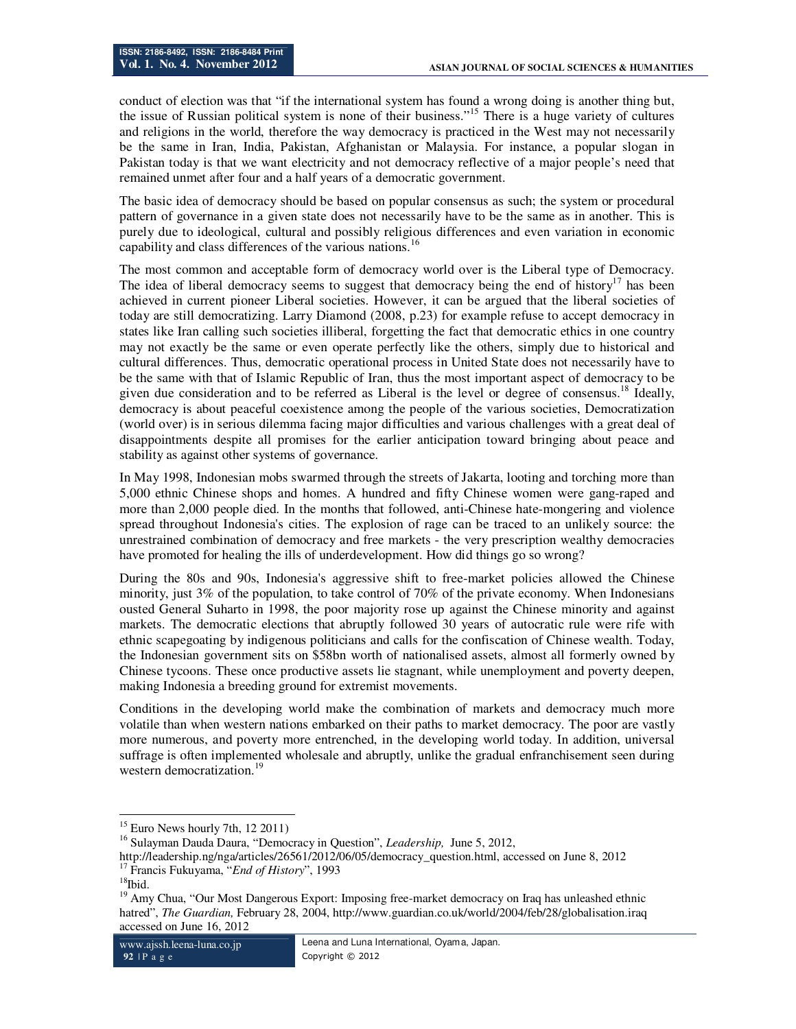conduct of election was that "if the international system has found a wrong doing is another thing but, the issue of Russian political system is none of their business."<sup>15</sup> There is a huge variety of cultures and religions in the world, therefore the way democracy is practiced in the West may not necessarily be the same in Iran, India, Pakistan, Afghanistan or Malaysia. For instance, a popular slogan in Pakistan today is that we want electricity and not democracy reflective of a major people's need that remained unmet after four and a half years of a democratic government.

The basic idea of democracy should be based on popular consensus as such; the system or procedural pattern of governance in a given state does not necessarily have to be the same as in another. This is purely due to ideological, cultural and possibly religious differences and even variation in economic capability and class differences of the various nations.<sup>16</sup>

The most common and acceptable form of democracy world over is the Liberal type of Democracy. The idea of liberal democracy seems to suggest that democracy being the end of history<sup>17</sup> has been achieved in current pioneer Liberal societies. However, it can be argued that the liberal societies of today are still democratizing. Larry Diamond (2008, p.23) for example refuse to accept democracy in states like Iran calling such societies illiberal, forgetting the fact that democratic ethics in one country may not exactly be the same or even operate perfectly like the others, simply due to historical and cultural differences. Thus, democratic operational process in United State does not necessarily have to be the same with that of Islamic Republic of Iran, thus the most important aspect of democracy to be given due consideration and to be referred as Liberal is the level or degree of consensus.<sup>18</sup> Ideally, democracy is about peaceful coexistence among the people of the various societies, Democratization (world over) is in serious dilemma facing major difficulties and various challenges with a great deal of disappointments despite all promises for the earlier anticipation toward bringing about peace and stability as against other systems of governance.

In May 1998, Indonesian mobs swarmed through the streets of Jakarta, looting and torching more than 5,000 ethnic Chinese shops and homes. A hundred and fifty Chinese women were gang-raped and more than 2,000 people died. In the months that followed, anti-Chinese hate-mongering and violence spread throughout Indonesia's cities. The explosion of rage can be traced to an unlikely source: the unrestrained combination of democracy and free markets - the very prescription wealthy democracies have promoted for healing the ills of underdevelopment. How did things go so wrong?

During the 80s and 90s, Indonesia's aggressive shift to free-market policies allowed the Chinese minority, just 3% of the population, to take control of 70% of the private economy. When Indonesians ousted General Suharto in 1998, the poor majority rose up against the Chinese minority and against markets. The democratic elections that abruptly followed 30 years of autocratic rule were rife with ethnic scapegoating by indigenous politicians and calls for the confiscation of Chinese wealth. Today, the Indonesian government sits on \$58bn worth of nationalised assets, almost all formerly owned by Chinese tycoons. These once productive assets lie stagnant, while unemployment and poverty deepen, making Indonesia a breeding ground for extremist movements.

Conditions in the developing world make the combination of markets and democracy much more volatile than when western nations embarked on their paths to market democracy. The poor are vastly more numerous, and poverty more entrenched, in the developing world today. In addition, universal suffrage is often implemented wholesale and abruptly, unlike the gradual enfranchisement seen during western democratization.<sup>19</sup>

 $\ddot{\phantom{a}}$  $15$  Euro News hourly 7th, 12 2011)

<sup>16</sup> Sulayman Dauda Daura, "Democracy in Question", *Leadership,* June 5, 2012,

http://leadership.ng/nga/articles/26561/2012/06/05/democracy\_question.html, accessed on June 8, 2012 <sup>17</sup> Francis Fukuyama, "*End of History*", 1993

 $18$ Ibid.

<sup>&</sup>lt;sup>19</sup> Amy Chua, "Our Most Dangerous Export: Imposing free-market democracy on Iraq has unleashed ethnic hatred", *The Guardian,* February 28, 2004, http://www.guardian.co.uk/world/2004/feb/28/globalisation.iraq accessed on June 16, 2012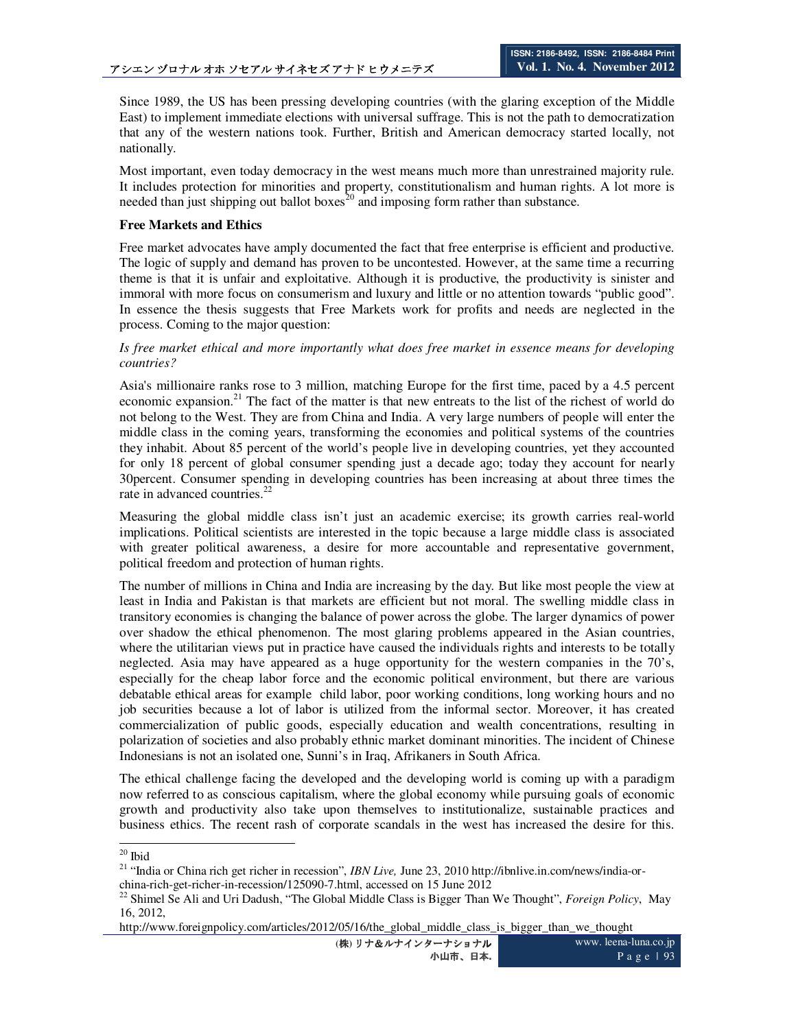Since 1989, the US has been pressing developing countries (with the glaring exception of the Middle East) to implement immediate elections with universal suffrage. This is not the path to democratization that any of the western nations took. Further, British and American democracy started locally, not nationally.

Most important, even today democracy in the west means much more than unrestrained majority rule. It includes protection for minorities and property, constitutionalism and human rights. A lot more is needed than just shipping out ballot boxes<sup>20</sup> and imposing form rather than substance.

### **Free Markets and Ethics**

Free market advocates have amply documented the fact that free enterprise is efficient and productive. The logic of supply and demand has proven to be uncontested. However, at the same time a recurring theme is that it is unfair and exploitative. Although it is productive, the productivity is sinister and immoral with more focus on consumerism and luxury and little or no attention towards "public good". In essence the thesis suggests that Free Markets work for profits and needs are neglected in the process. Coming to the major question:

### *Is free market ethical and more importantly what does free market in essence means for developing countries?*

Asia's millionaire ranks rose to 3 million, matching Europe for the first time, paced by a 4.5 percent economic expansion.<sup>21</sup> The fact of the matter is that new entreats to the list of the richest of world do not belong to the West. They are from China and India. A very large numbers of people will enter the middle class in the coming years, transforming the economies and political systems of the countries they inhabit. About 85 percent of the world's people live in developing countries, yet they accounted for only 18 percent of global consumer spending just a decade ago; today they account for nearly 30percent. Consumer spending in developing countries has been increasing at about three times the rate in advanced countries.<sup>22</sup>

Measuring the global middle class isn't just an academic exercise; its growth carries real-world implications. Political scientists are interested in the topic because a large middle class is associated with greater political awareness, a desire for more accountable and representative government, political freedom and protection of human rights.

The number of millions in China and India are increasing by the day. But like most people the view at least in India and Pakistan is that markets are efficient but not moral. The swelling middle class in transitory economies is changing the balance of power across the globe. The larger dynamics of power over shadow the ethical phenomenon. The most glaring problems appeared in the Asian countries, where the utilitarian views put in practice have caused the individuals rights and interests to be totally neglected. Asia may have appeared as a huge opportunity for the western companies in the 70's, especially for the cheap labor force and the economic political environment, but there are various debatable ethical areas for example child labor, poor working conditions, long working hours and no job securities because a lot of labor is utilized from the informal sector. Moreover, it has created commercialization of public goods, especially education and wealth concentrations, resulting in polarization of societies and also probably ethnic market dominant minorities. The incident of Chinese Indonesians is not an isolated one, Sunni's in Iraq, Afrikaners in South Africa.

The ethical challenge facing the developed and the developing world is coming up with a paradigm now referred to as conscious capitalism, where the global economy while pursuing goals of economic growth and productivity also take upon themselves to institutionalize, sustainable practices and business ethics. The recent rash of corporate scandals in the west has increased the desire for this.

 $20$  Ibid

<sup>&</sup>lt;sup>21</sup> "India or China rich get richer in recession", *IBN Live*, June 23, 2010 http://ibnlive.in.com/news/india-orchina-rich-get-richer-in-recession/125090-7.html, accessed on 15 June 2012

<sup>22</sup> Shimel Se Ali and Uri Dadush, "The Global Middle Class is Bigger Than We Thought", *Foreign Policy*, May 16, 2012,

http://www.foreignpolicy.com/articles/2012/05/16/the\_global\_middle\_class\_is\_bigger\_than\_we\_thought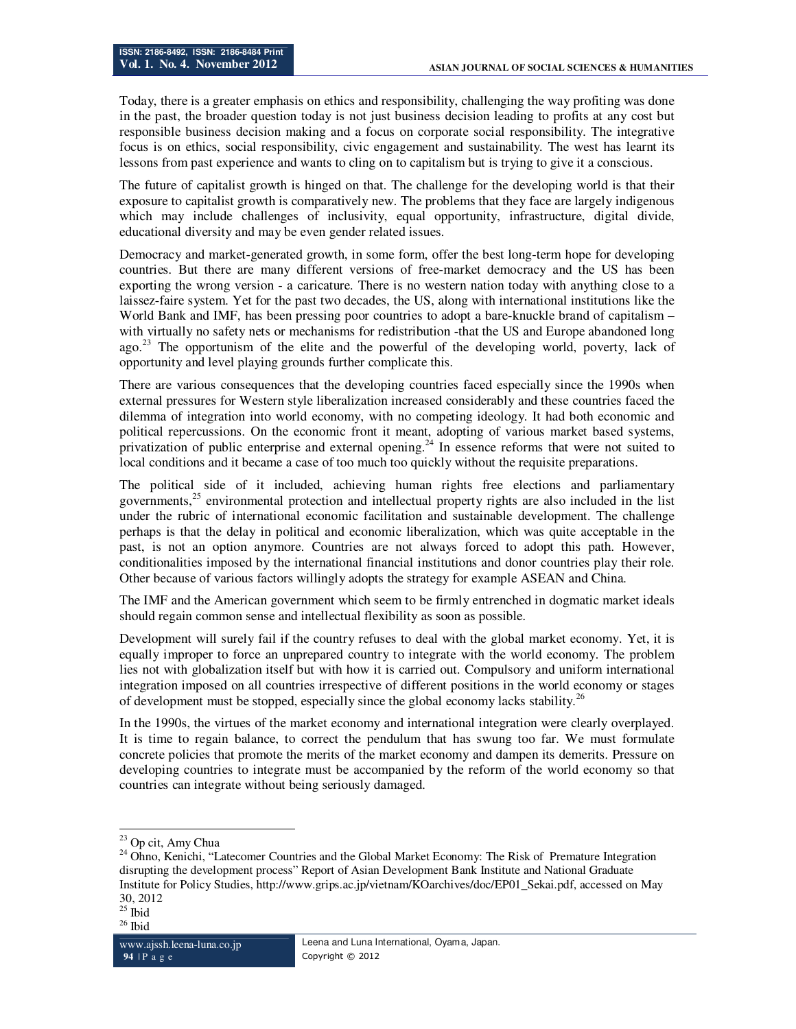Today, there is a greater emphasis on ethics and responsibility, challenging the way profiting was done in the past, the broader question today is not just business decision leading to profits at any cost but responsible business decision making and a focus on corporate social responsibility. The integrative focus is on ethics, social responsibility, civic engagement and sustainability. The west has learnt its lessons from past experience and wants to cling on to capitalism but is trying to give it a conscious.

The future of capitalist growth is hinged on that. The challenge for the developing world is that their exposure to capitalist growth is comparatively new. The problems that they face are largely indigenous which may include challenges of inclusivity, equal opportunity, infrastructure, digital divide, educational diversity and may be even gender related issues.

Democracy and market-generated growth, in some form, offer the best long-term hope for developing countries. But there are many different versions of free-market democracy and the US has been exporting the wrong version - a caricature. There is no western nation today with anything close to a laissez-faire system. Yet for the past two decades, the US, along with international institutions like the World Bank and IMF, has been pressing poor countries to adopt a bare-knuckle brand of capitalism – with virtually no safety nets or mechanisms for redistribution -that the US and Europe abandoned long ago.<sup>23</sup> The opportunism of the elite and the powerful of the developing world, poverty, lack of opportunity and level playing grounds further complicate this.

There are various consequences that the developing countries faced especially since the 1990s when external pressures for Western style liberalization increased considerably and these countries faced the dilemma of integration into world economy, with no competing ideology. It had both economic and political repercussions. On the economic front it meant, adopting of various market based systems, privatization of public enterprise and external opening.<sup>24</sup> In essence reforms that were not suited to local conditions and it became a case of too much too quickly without the requisite preparations.

The political side of it included, achieving human rights free elections and parliamentary governments,<sup>25</sup> environmental protection and intellectual property rights are also included in the list under the rubric of international economic facilitation and sustainable development. The challenge perhaps is that the delay in political and economic liberalization, which was quite acceptable in the past, is not an option anymore. Countries are not always forced to adopt this path. However, conditionalities imposed by the international financial institutions and donor countries play their role. Other because of various factors willingly adopts the strategy for example ASEAN and China.

The IMF and the American government which seem to be firmly entrenched in dogmatic market ideals should regain common sense and intellectual flexibility as soon as possible.

Development will surely fail if the country refuses to deal with the global market economy. Yet, it is equally improper to force an unprepared country to integrate with the world economy. The problem lies not with globalization itself but with how it is carried out. Compulsory and uniform international integration imposed on all countries irrespective of different positions in the world economy or stages of development must be stopped, especially since the global economy lacks stability.<sup>26</sup>

In the 1990s, the virtues of the market economy and international integration were clearly overplayed. It is time to regain balance, to correct the pendulum that has swung too far. We must formulate concrete policies that promote the merits of the market economy and dampen its demerits. Pressure on developing countries to integrate must be accompanied by the reform of the world economy so that countries can integrate without being seriously damaged.

<sup>&</sup>lt;sup>23</sup> Op cit, Amy Chua

<sup>&</sup>lt;sup>24</sup> Ohno, Kenichi, "Latecomer Countries and the Global Market Economy: The Risk of Premature Integration disrupting the development process" Report of Asian Development Bank Institute and National Graduate Institute for Policy Studies, http://www.grips.ac.jp/vietnam/KOarchives/doc/EP01\_Sekai.pdf, accessed on May 30, 2012

 $25$  Ibid

 $^{26}$ Ibid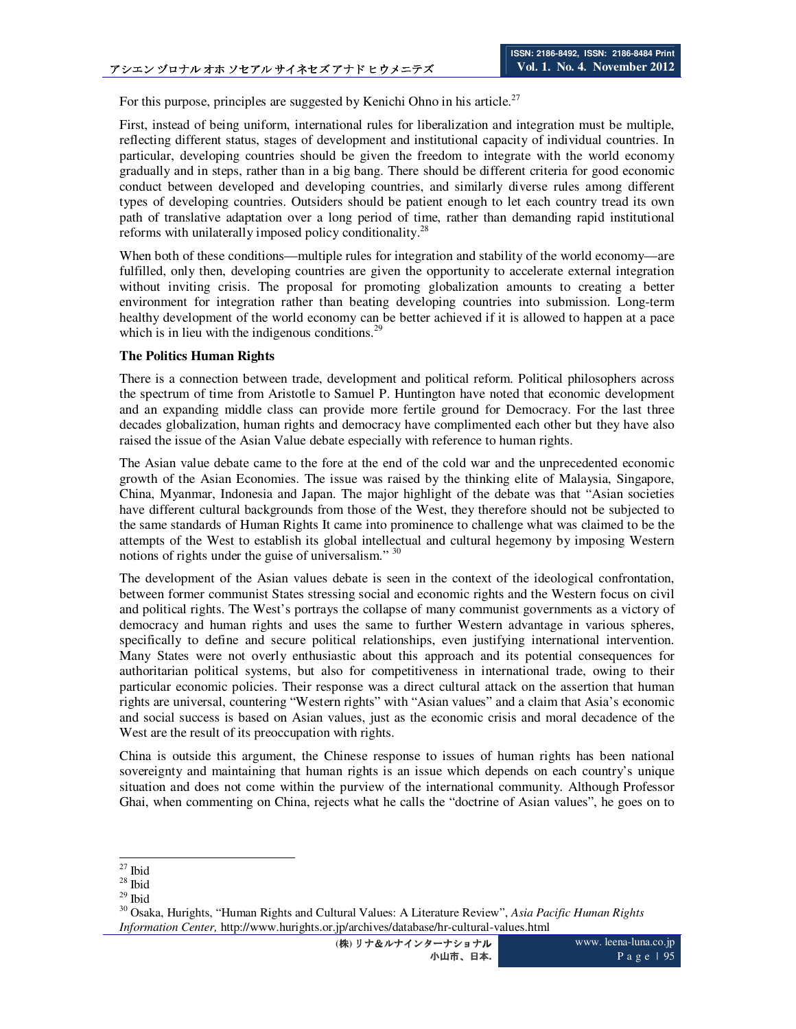For this purpose, principles are suggested by Kenichi Ohno in his article.<sup>27</sup>

First, instead of being uniform, international rules for liberalization and integration must be multiple, reflecting different status, stages of development and institutional capacity of individual countries. In particular, developing countries should be given the freedom to integrate with the world economy gradually and in steps, rather than in a big bang. There should be different criteria for good economic conduct between developed and developing countries, and similarly diverse rules among different types of developing countries. Outsiders should be patient enough to let each country tread its own path of translative adaptation over a long period of time, rather than demanding rapid institutional reforms with unilaterally imposed policy conditionality.<sup>28</sup>

When both of these conditions—multiple rules for integration and stability of the world economy—are fulfilled, only then, developing countries are given the opportunity to accelerate external integration without inviting crisis. The proposal for promoting globalization amounts to creating a better environment for integration rather than beating developing countries into submission. Long-term healthy development of the world economy can be better achieved if it is allowed to happen at a pace which is in lieu with the indigenous conditions. $2<sup>9</sup>$ 

### **The Politics Human Rights**

There is a connection between trade, development and political reform. Political philosophers across the spectrum of time from Aristotle to Samuel P. Huntington have noted that economic development and an expanding middle class can provide more fertile ground for Democracy. For the last three decades globalization, human rights and democracy have complimented each other but they have also raised the issue of the Asian Value debate especially with reference to human rights.

The Asian value debate came to the fore at the end of the cold war and the unprecedented economic growth of the Asian Economies. The issue was raised by the thinking elite of Malaysia, Singapore, China, Myanmar, Indonesia and Japan. The major highlight of the debate was that "Asian societies have different cultural backgrounds from those of the West, they therefore should not be subjected to the same standards of Human Rights It came into prominence to challenge what was claimed to be the attempts of the West to establish its global intellectual and cultural hegemony by imposing Western notions of rights under the guise of universalism." <sup>30</sup>

The development of the Asian values debate is seen in the context of the ideological confrontation, between former communist States stressing social and economic rights and the Western focus on civil and political rights. The West's portrays the collapse of many communist governments as a victory of democracy and human rights and uses the same to further Western advantage in various spheres, specifically to define and secure political relationships, even justifying international intervention. Many States were not overly enthusiastic about this approach and its potential consequences for authoritarian political systems, but also for competitiveness in international trade, owing to their particular economic policies. Their response was a direct cultural attack on the assertion that human rights are universal, countering "Western rights" with "Asian values" and a claim that Asia's economic and social success is based on Asian values, just as the economic crisis and moral decadence of the West are the result of its preoccupation with rights.

China is outside this argument, the Chinese response to issues of human rights has been national sovereignty and maintaining that human rights is an issue which depends on each country's unique situation and does not come within the purview of the international community. Although Professor Ghai, when commenting on China, rejects what he calls the "doctrine of Asian values", he goes on to

 $\overline{a}$  $27$  Ibid

 $28$  Ibid

 $^{\rm 29}$  Ibid

<sup>30</sup> Osaka, Hurights, "Human Rights and Cultural Values: A Literature Review", *Asia Pacific Human Rights Information Center,* http://www.hurights.or.jp/archives/database/hr-cultural-values.html